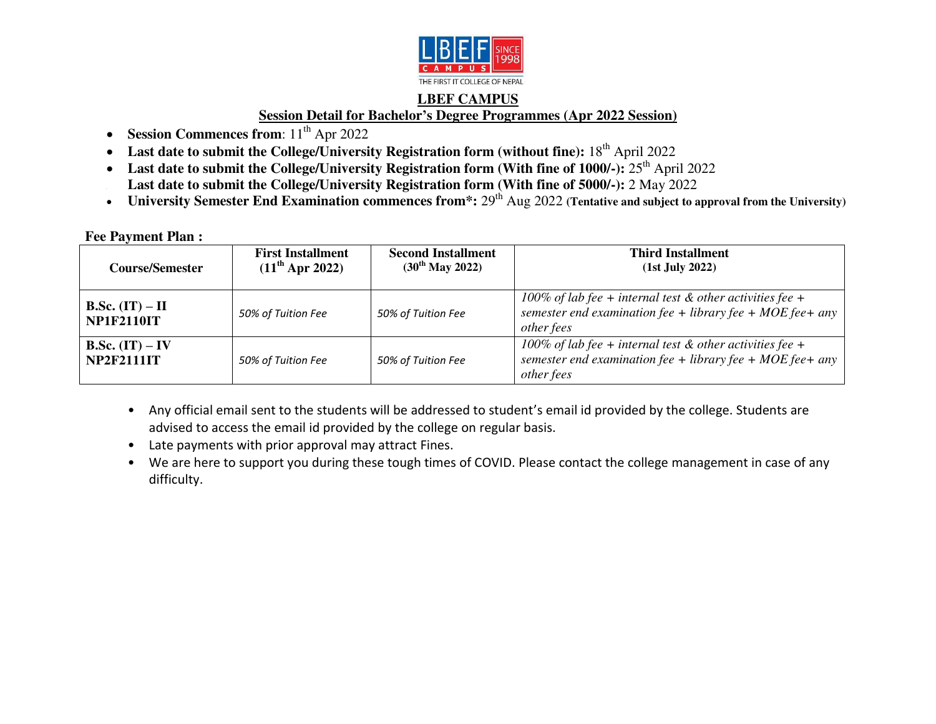

## **LBEF CAMPUS Session Detail for Bachelor's Degree Programmes (Apr 2022 Session)**

- Session Commences from:  $11<sup>th</sup>$  Apr 2022
- Last date to submit the College/University Registration form (without fine): 18<sup>th</sup> April 2022
- Last date to submit the College/University Registration form (With fine of 1000/-): 25<sup>th</sup> April 2022 Last date to submit the College/University Registration form (With fine of 5000/-): 2 May 2022
- University Semester End Examination commences from<sup>\*</sup>: 29<sup>th</sup> Aug 2022 (Tentative and subject to approval from the University)

## **Fee Payment Plan :**

| <b>Course/Semester</b>                        | <b>First Installment</b><br>$(11^{th}$ Apr 2022) | <b>Second Installment</b><br>$(30^{th}$ May 2022) | <b>Third Installment</b><br>$(1st$ July 2022)                                                                                          |
|-----------------------------------------------|--------------------------------------------------|---------------------------------------------------|----------------------------------------------------------------------------------------------------------------------------------------|
| <b>B.Sc.</b> $(IT) - II$<br><b>NP1F2110IT</b> | 50% of Tuition Fee                               | 50% of Tuition Fee                                | 100% of lab fee + internal test $&$ other activities fee +<br>semester end examination fee + library fee + MOE fee + any<br>other fees |
| <b>B.Sc.</b> $(IT) - IV$<br><b>NP2F2111IT</b> | 50% of Tuition Fee                               | 50% of Tuition Fee                                | 100% of lab fee + internal test $&$ other activities fee +<br>semester end examination fee + library fee + MOE fee + any<br>other fees |

- Any official email sent to the students will be addressed to student's email id provided by the college. Students are advised to access the email id provided by the college on regular basis.
- Late payments with prior approval may attract Fines.
- We are here to support you during these tough times of COVID. Please contact the college management in case of any difficulty.